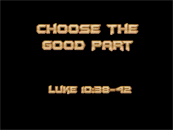

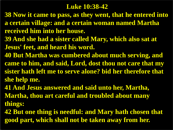#### **Luke 10:38-42**

- **38 Now it came to pass, as they went, that he entered into a certain village: and a certain woman named Martha received him into her house.**
- **39 And she had a sister called Mary, which also sat at Jesus' feet, and heard his word.**
- **40 But Martha was cumbered about much serving, and came to him, and said, Lord, dost thou not care that my sister hath left me to serve alone? bid her therefore that she help me.**
- **41 And Jesus answered and said unto her, Martha, Martha, thou art careful and troubled about many things:**
- **42 But one thing is needful: and Mary hath chosen that good part, which shall not be taken away from her.**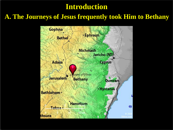### **Introduction**

#### **A. The Journeys of Jesus frequently took Him to Bethany**

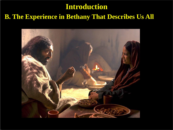## **B. The Experience in Bethany That Describes Us All Introduction**

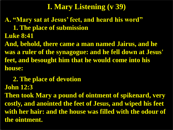**A. "Mary sat at Jesus' feet, and heard his word" 1. The place of submission Luke 8:41**

**And, behold, there came a man named Jairus, and he was a ruler of the synagogue: and he fell down at Jesus' feet, and besought him that he would come into his house:**

 **2. The place of devotion John 12:3**

**Then took Mary a pound of ointment of spikenard, very costly, and anointed the feet of Jesus, and wiped his feet with her hair: and the house was filled with the odour of the ointment.**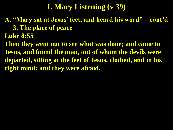**A. "Mary sat at Jesus' feet, and heard his word" – cont'd 3. The place of peace**

**Luke 8:55**

**Then they went out to see what was done; and came to Jesus, and found the man, out of whom the devils were departed, sitting at the feet of Jesus, clothed, and in his right mind: and they were afraid.**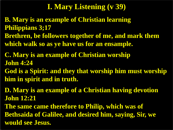**B. Mary is an example of Christian learning Philippians 3;17**

**Brethren, be followers together of me, and mark them which walk so as ye have us for an ensample.**

**C. Mary is an example of Christian worship John 4:24**

**God is a Spirit: and they that worship him must worship him in spirit and in truth.**

**D. Mary is an example of a Christian having devotion John 12:21**

**The same came therefore to Philip, which was of Bethsaida of Galilee, and desired him, saying, Sir, we would see Jesus.**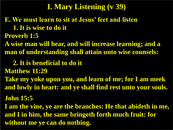**E. We must learn to sit at Jesus' feet and listen 1. It is wise to do it Proverb 1:5**

**A wise man will hear, and will increase learning; and a man of understanding shall attain unto wise counsels:** 

 **2. It is beneficial to do it**

**Matthew 11:29**

**Take my yoke upon you, and learn of me; for I am meek and lowly in heart: and ye shall find rest unto your souls.**

**John 15:5**

**I am the vine, ye are the branches: He that abideth in me, and I in him, the same bringeth forth much fruit: for without me ye can do nothing.**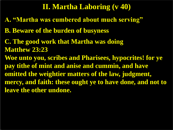### **II. Martha Laboring (v 40)**

- **A. "Martha was cumbered about much serving"**
- **B. Beware of the burden of busyness**
- **C. The good work that Martha was doing Matthew 23:23**
- **Woe unto you, scribes and Pharisees, hypocrites! for ye pay tithe of mint and anise and cummin, and have omitted the weightier matters of the law, judgment, mercy, and faith: these ought ye to have done, and not to leave the other undone.**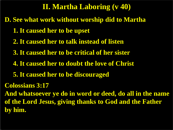## **II. Martha Laboring (v 40)**

**D. See what work without worship did to Martha 1. It caused her to be upset 2. It caused her to talk instead of listen 3. It caused her to be critical of her sister 4. It caused her to doubt the love of Christ 5. It caused her to be discouraged Colossians 3:17 And whatsoever ye do in word or deed, do all in the name of the Lord Jesus, giving thanks to God and the Father by him.**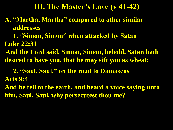#### **III. The Master's Love (v 41-42)**

- **A. "Martha, Martha" compared to other similar addresses**
- **1. "Simon, Simon" when attacked by Satan Luke 22:31**
- **And the Lord said, Simon, Simon, behold, Satan hath desired to have you, that he may sift you as wheat:**
- **2. "Saul, Saul," on the road to Damascus Acts 9:4**
- **And he fell to the earth, and heard a voice saying unto him, Saul, Saul, why persecutest thou me?**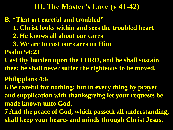#### **III. The Master's Love (v 41-42)**

**B. "That art careful and troubled" 1. Christ looks within and sees the troubled heart 2. He knows all about our cares 3. We are to cast our cares on Him Psalm 54:23 Cast thy burden upon the LORD, and he shall sustain thee: he shall never suffer the righteous to be moved. Philippians 4:6 6 Be careful for nothing; but in every thing by prayer and supplication with thanksgiving let your requests be made known unto God. 7 And the peace of God, which passeth all understanding, shall keep your hearts and minds through Christ Jesus.**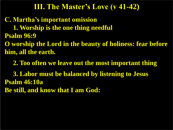#### **III. The Master's Love (v 41-42)**

**C. Martha's important omission 1. Worship is the one thing needful Psalm 96:9**

**O worship the Lord in the beauty of holiness: fear before him, all the earth.**

 **2. Too often we leave out the most important thing 3. Labor must be balanced by listening to Jesus Psalm 46:10a Be still, and know that I am God:**